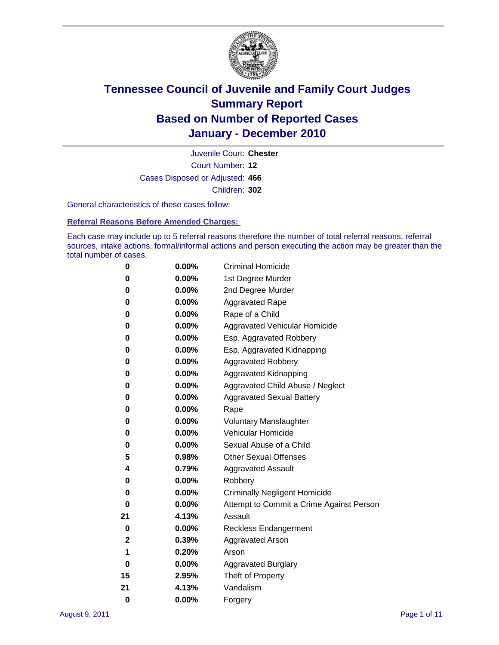

Court Number: **12** Juvenile Court: **Chester** Cases Disposed or Adjusted: **466** Children: **302**

General characteristics of these cases follow:

**Referral Reasons Before Amended Charges:** 

Each case may include up to 5 referral reasons therefore the number of total referral reasons, referral sources, intake actions, formal/informal actions and person executing the action may be greater than the total number of cases.

| 0  | 0.00%    | <b>Criminal Homicide</b>                 |  |  |  |
|----|----------|------------------------------------------|--|--|--|
| 0  | 0.00%    | 1st Degree Murder                        |  |  |  |
| 0  | 0.00%    | 2nd Degree Murder                        |  |  |  |
| 0  | 0.00%    | <b>Aggravated Rape</b>                   |  |  |  |
| 0  | 0.00%    | Rape of a Child                          |  |  |  |
| 0  | 0.00%    | Aggravated Vehicular Homicide            |  |  |  |
| 0  | 0.00%    | Esp. Aggravated Robbery                  |  |  |  |
| 0  | 0.00%    | Esp. Aggravated Kidnapping               |  |  |  |
| 0  | 0.00%    | <b>Aggravated Robbery</b>                |  |  |  |
| 0  | 0.00%    | Aggravated Kidnapping                    |  |  |  |
| 0  | 0.00%    | Aggravated Child Abuse / Neglect         |  |  |  |
| 0  | $0.00\%$ | <b>Aggravated Sexual Battery</b>         |  |  |  |
| 0  | 0.00%    | Rape                                     |  |  |  |
| 0  | 0.00%    | <b>Voluntary Manslaughter</b>            |  |  |  |
| 0  | 0.00%    | Vehicular Homicide                       |  |  |  |
| 0  | 0.00%    | Sexual Abuse of a Child                  |  |  |  |
| 5  | 0.98%    | <b>Other Sexual Offenses</b>             |  |  |  |
| 4  | 0.79%    | <b>Aggravated Assault</b>                |  |  |  |
| 0  | $0.00\%$ | Robbery                                  |  |  |  |
| 0  | 0.00%    | <b>Criminally Negligent Homicide</b>     |  |  |  |
| 0  | 0.00%    | Attempt to Commit a Crime Against Person |  |  |  |
| 21 | 4.13%    | Assault                                  |  |  |  |
| 0  | 0.00%    | <b>Reckless Endangerment</b>             |  |  |  |
| 2  | 0.39%    | <b>Aggravated Arson</b>                  |  |  |  |
| 1  | 0.20%    | Arson                                    |  |  |  |
| 0  | 0.00%    | <b>Aggravated Burglary</b>               |  |  |  |
| 15 | 2.95%    | Theft of Property                        |  |  |  |
| 21 | 4.13%    | Vandalism                                |  |  |  |
| 0  | 0.00%    | Forgery                                  |  |  |  |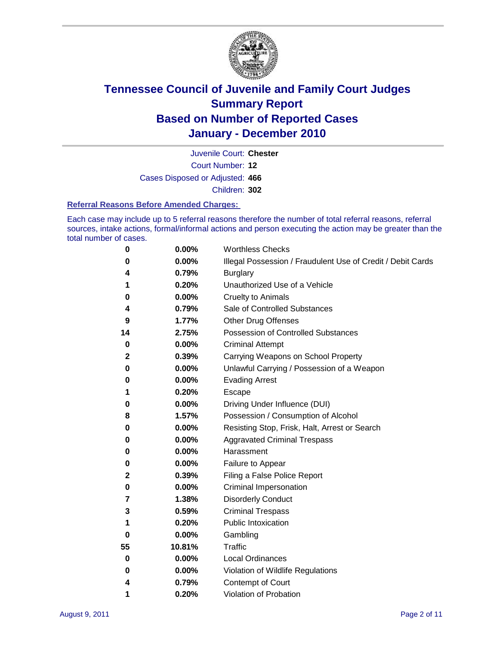

Court Number: **12** Juvenile Court: **Chester** Cases Disposed or Adjusted: **466** Children: **302**

#### **Referral Reasons Before Amended Charges:**

Each case may include up to 5 referral reasons therefore the number of total referral reasons, referral sources, intake actions, formal/informal actions and person executing the action may be greater than the total number of cases.

| 0  | 0.00%  | <b>Worthless Checks</b>                                     |
|----|--------|-------------------------------------------------------------|
| 0  | 0.00%  | Illegal Possession / Fraudulent Use of Credit / Debit Cards |
| 4  | 0.79%  | <b>Burglary</b>                                             |
| 1  | 0.20%  | Unauthorized Use of a Vehicle                               |
| 0  | 0.00%  | <b>Cruelty to Animals</b>                                   |
| 4  | 0.79%  | Sale of Controlled Substances                               |
| 9  | 1.77%  | <b>Other Drug Offenses</b>                                  |
| 14 | 2.75%  | <b>Possession of Controlled Substances</b>                  |
| 0  | 0.00%  | <b>Criminal Attempt</b>                                     |
| 2  | 0.39%  | Carrying Weapons on School Property                         |
| 0  | 0.00%  | Unlawful Carrying / Possession of a Weapon                  |
| 0  | 0.00%  | <b>Evading Arrest</b>                                       |
| 1  | 0.20%  | Escape                                                      |
| 0  | 0.00%  | Driving Under Influence (DUI)                               |
| 8  | 1.57%  | Possession / Consumption of Alcohol                         |
| 0  | 0.00%  | Resisting Stop, Frisk, Halt, Arrest or Search               |
| 0  | 0.00%  | <b>Aggravated Criminal Trespass</b>                         |
| 0  | 0.00%  | Harassment                                                  |
| 0  | 0.00%  | Failure to Appear                                           |
| 2  | 0.39%  | Filing a False Police Report                                |
| 0  | 0.00%  | Criminal Impersonation                                      |
| 7  | 1.38%  | <b>Disorderly Conduct</b>                                   |
| 3  | 0.59%  | <b>Criminal Trespass</b>                                    |
| 1  | 0.20%  | <b>Public Intoxication</b>                                  |
| 0  | 0.00%  | Gambling                                                    |
| 55 | 10.81% | Traffic                                                     |
| 0  | 0.00%  | <b>Local Ordinances</b>                                     |
| 0  | 0.00%  | Violation of Wildlife Regulations                           |
| 4  | 0.79%  | Contempt of Court                                           |
| 1  | 0.20%  | Violation of Probation                                      |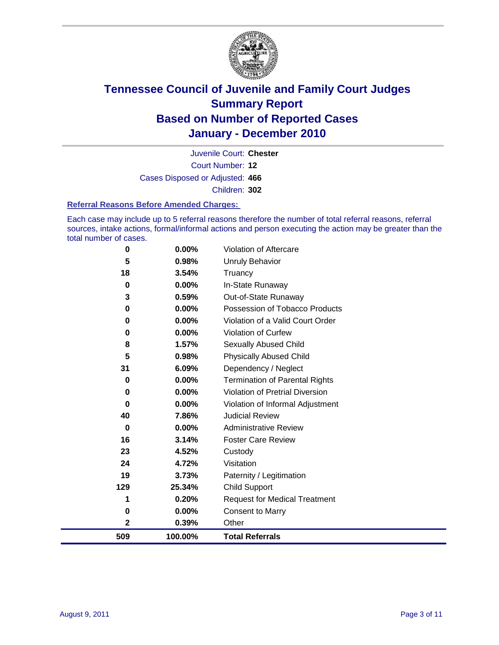

Court Number: **12** Juvenile Court: **Chester** Cases Disposed or Adjusted: **466** Children: **302**

#### **Referral Reasons Before Amended Charges:**

Each case may include up to 5 referral reasons therefore the number of total referral reasons, referral sources, intake actions, formal/informal actions and person executing the action may be greater than the total number of cases.

| 0           | 0.00%    | Violation of Aftercare                 |
|-------------|----------|----------------------------------------|
| 5           | 0.98%    | <b>Unruly Behavior</b>                 |
| 18          | 3.54%    | Truancy                                |
| $\bf{0}$    | 0.00%    | In-State Runaway                       |
| 3           | 0.59%    | Out-of-State Runaway                   |
| 0           | $0.00\%$ | Possession of Tobacco Products         |
| 0           | $0.00\%$ | Violation of a Valid Court Order       |
| 0           | 0.00%    | Violation of Curfew                    |
| 8           | 1.57%    | Sexually Abused Child                  |
| 5           | 0.98%    | <b>Physically Abused Child</b>         |
| 31          | 6.09%    | Dependency / Neglect                   |
| 0           | 0.00%    | <b>Termination of Parental Rights</b>  |
| $\mathbf 0$ | 0.00%    | <b>Violation of Pretrial Diversion</b> |
| 0           | 0.00%    | Violation of Informal Adjustment       |
| 40          | 7.86%    | <b>Judicial Review</b>                 |
| 0           | $0.00\%$ | <b>Administrative Review</b>           |
| 16          | 3.14%    | <b>Foster Care Review</b>              |
| 23          | 4.52%    | Custody                                |
| 24          | 4.72%    | Visitation                             |
| 19          | 3.73%    | Paternity / Legitimation               |
| 129         | 25.34%   | <b>Child Support</b>                   |
| 1           | 0.20%    | <b>Request for Medical Treatment</b>   |
| 0           | 0.00%    | <b>Consent to Marry</b>                |
| 2           | 0.39%    | Other                                  |
| 509         | 100.00%  | <b>Total Referrals</b>                 |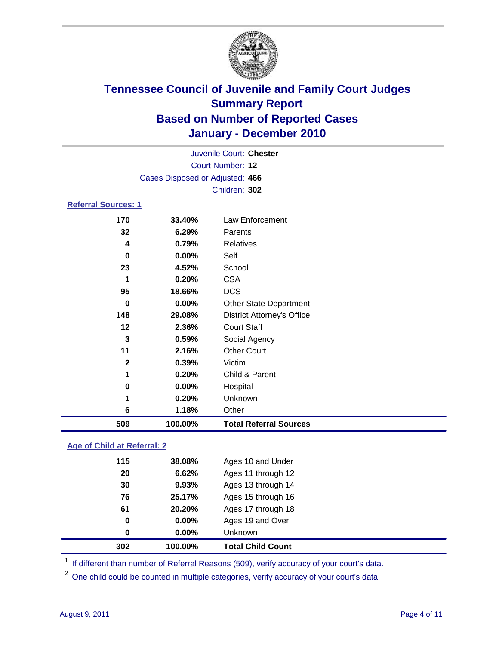

|                            |                                 | Juvenile Court: Chester           |  |
|----------------------------|---------------------------------|-----------------------------------|--|
| Court Number: 12           |                                 |                                   |  |
|                            | Cases Disposed or Adjusted: 466 |                                   |  |
|                            |                                 | Children: 302                     |  |
| <b>Referral Sources: 1</b> |                                 |                                   |  |
| 170                        | 33.40%                          | <b>Law Enforcement</b>            |  |
| 32                         | 6.29%                           | Parents                           |  |
| 4                          | 0.79%                           | <b>Relatives</b>                  |  |
| $\bf{0}$                   | 0.00%                           | Self                              |  |
| 23                         | 4.52%                           | School                            |  |
| 1                          | 0.20%                           | <b>CSA</b>                        |  |
| 95                         | 18.66%                          | <b>DCS</b>                        |  |
| 0                          | 0.00%                           | <b>Other State Department</b>     |  |
| 148                        | 29.08%                          | <b>District Attorney's Office</b> |  |
| 12                         | 2.36%                           | <b>Court Staff</b>                |  |
| 3                          | 0.59%                           | Social Agency                     |  |
| 11                         | 2.16%                           | <b>Other Court</b>                |  |
| $\mathbf{2}$               | 0.39%                           | Victim                            |  |
| 1                          | 0.20%                           | Child & Parent                    |  |
| 0                          | 0.00%                           | Hospital                          |  |
| 1                          | 0.20%                           | Unknown                           |  |
| 6                          | 1.18%                           | Other                             |  |
| 509                        | 100.00%                         | <b>Total Referral Sources</b>     |  |
|                            |                                 |                                   |  |

### **Age of Child at Referral: 2**

| 302 | 100.00% | <b>Total Child Count</b> |
|-----|---------|--------------------------|
| 0   | 0.00%   | <b>Unknown</b>           |
| 0   | 0.00%   | Ages 19 and Over         |
| 61  | 20.20%  | Ages 17 through 18       |
| 76  | 25.17%  | Ages 15 through 16       |
| 30  | 9.93%   | Ages 13 through 14       |
| 20  | 6.62%   | Ages 11 through 12       |
| 115 | 38.08%  | Ages 10 and Under        |
|     |         |                          |

<sup>1</sup> If different than number of Referral Reasons (509), verify accuracy of your court's data.

<sup>2</sup> One child could be counted in multiple categories, verify accuracy of your court's data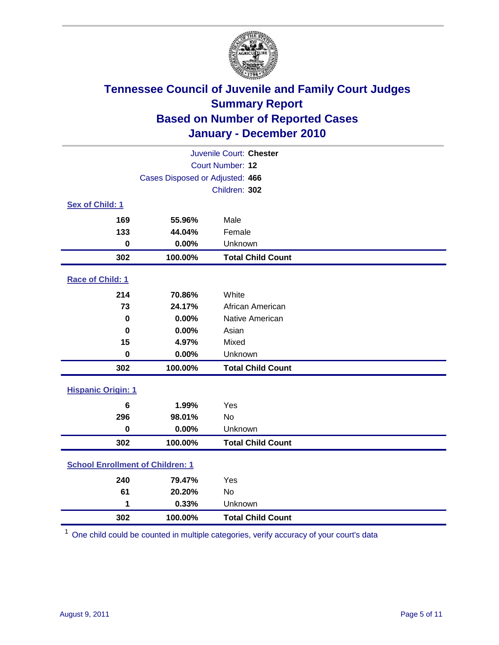

| Juvenile Court: Chester                 |                                 |                          |  |  |
|-----------------------------------------|---------------------------------|--------------------------|--|--|
|                                         | <b>Court Number: 12</b>         |                          |  |  |
|                                         | Cases Disposed or Adjusted: 466 |                          |  |  |
|                                         |                                 | Children: 302            |  |  |
| Sex of Child: 1                         |                                 |                          |  |  |
| 169                                     | 55.96%                          | Male                     |  |  |
| 133                                     | 44.04%                          | Female                   |  |  |
| $\mathbf 0$                             | 0.00%                           | Unknown                  |  |  |
| 302                                     | 100.00%                         | <b>Total Child Count</b> |  |  |
| Race of Child: 1                        |                                 |                          |  |  |
| 214                                     | 70.86%                          | White                    |  |  |
| 73                                      | 24.17%                          | African American         |  |  |
| $\mathbf 0$                             | 0.00%                           | Native American          |  |  |
| $\bf{0}$                                | 0.00%                           | Asian                    |  |  |
| 15                                      | 4.97%                           | Mixed                    |  |  |
| $\mathbf 0$                             | 0.00%                           | Unknown                  |  |  |
| 302                                     | 100.00%                         | <b>Total Child Count</b> |  |  |
| <b>Hispanic Origin: 1</b>               |                                 |                          |  |  |
| 6                                       | 1.99%                           | Yes                      |  |  |
| 296                                     | 98.01%                          | No                       |  |  |
| $\mathbf 0$                             | 0.00%                           | Unknown                  |  |  |
| 302                                     | 100.00%                         | <b>Total Child Count</b> |  |  |
| <b>School Enrollment of Children: 1</b> |                                 |                          |  |  |
| 240                                     | 79.47%                          | Yes                      |  |  |
| 61                                      | 20.20%                          | No                       |  |  |
| 1                                       | 0.33%                           | Unknown                  |  |  |
| 302                                     | 100.00%                         | <b>Total Child Count</b> |  |  |

One child could be counted in multiple categories, verify accuracy of your court's data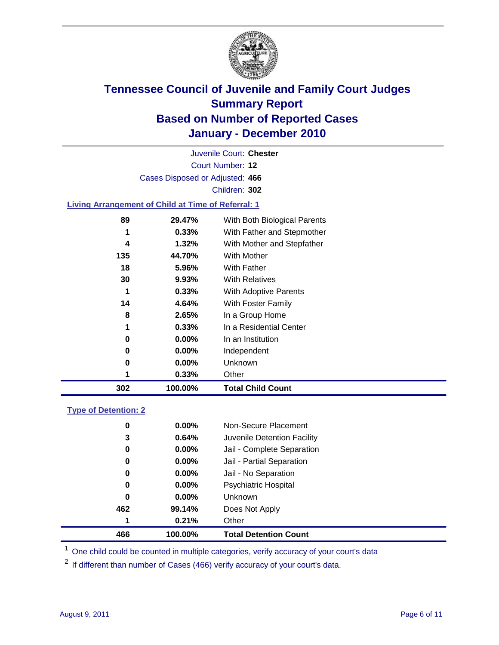

Court Number: **12** Juvenile Court: **Chester** Cases Disposed or Adjusted: **466** Children: **302**

### **Living Arrangement of Child at Time of Referral: 1**

| 302 | 100.00%  | <b>Total Child Count</b>     |
|-----|----------|------------------------------|
|     | 0.33%    | Other                        |
| 0   | 0.00%    | Unknown                      |
| 0   | $0.00\%$ | Independent                  |
| 0   | $0.00\%$ | In an Institution            |
| 1   | 0.33%    | In a Residential Center      |
| 8   | 2.65%    | In a Group Home              |
| 14  | 4.64%    | With Foster Family           |
| 1   | 0.33%    | With Adoptive Parents        |
| 30  | 9.93%    | <b>With Relatives</b>        |
| 18  | 5.96%    | With Father                  |
| 135 | 44.70%   | With Mother                  |
| 4   | 1.32%    | With Mother and Stepfather   |
| 1   | 0.33%    | With Father and Stepmother   |
| 89  | 29.47%   | With Both Biological Parents |
|     |          |                              |

#### **Type of Detention: 2**

| 466      | 100.00%  | <b>Total Detention Count</b> |
|----------|----------|------------------------------|
| 1        | 0.21%    | Other                        |
| 462      | 99.14%   | Does Not Apply               |
| 0        | $0.00\%$ | <b>Unknown</b>               |
| 0        | 0.00%    | <b>Psychiatric Hospital</b>  |
| $\bf{0}$ | 0.00%    | Jail - No Separation         |
| 0        | $0.00\%$ | Jail - Partial Separation    |
| 0        | $0.00\%$ | Jail - Complete Separation   |
| 3        | 0.64%    | Juvenile Detention Facility  |
| 0        | $0.00\%$ | Non-Secure Placement         |
|          |          |                              |

<sup>1</sup> One child could be counted in multiple categories, verify accuracy of your court's data

<sup>2</sup> If different than number of Cases (466) verify accuracy of your court's data.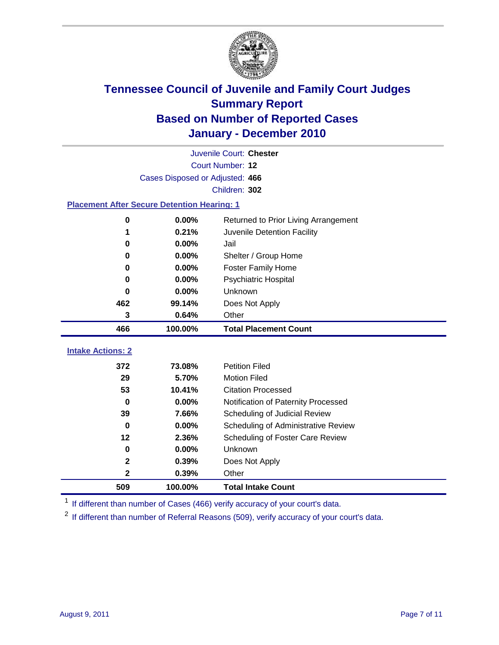

| Juvenile Court: Chester                            |                                 |                                      |  |  |  |
|----------------------------------------------------|---------------------------------|--------------------------------------|--|--|--|
|                                                    | Court Number: 12                |                                      |  |  |  |
|                                                    | Cases Disposed or Adjusted: 466 |                                      |  |  |  |
|                                                    |                                 | Children: 302                        |  |  |  |
| <b>Placement After Secure Detention Hearing: 1</b> |                                 |                                      |  |  |  |
| 0                                                  | 0.00%                           | Returned to Prior Living Arrangement |  |  |  |
| 1                                                  | 0.21%                           | Juvenile Detention Facility          |  |  |  |
| 0                                                  | 0.00%                           | Jail                                 |  |  |  |
| 0                                                  | 0.00%                           | Shelter / Group Home                 |  |  |  |
| 0                                                  | 0.00%                           | <b>Foster Family Home</b>            |  |  |  |
| 0                                                  | 0.00%                           | Psychiatric Hospital                 |  |  |  |
| 0                                                  | 0.00%                           | <b>Unknown</b>                       |  |  |  |
| 462                                                | 99.14%                          | Does Not Apply                       |  |  |  |
| 3                                                  | 0.64%                           | Other                                |  |  |  |
| 466                                                | 100.00%                         | <b>Total Placement Count</b>         |  |  |  |
|                                                    |                                 |                                      |  |  |  |
| <b>Intake Actions: 2</b>                           |                                 |                                      |  |  |  |
| 372                                                | 73.08%                          | <b>Petition Filed</b>                |  |  |  |
| 29                                                 | 5.70%                           | <b>Motion Filed</b>                  |  |  |  |
| 53                                                 | 10.41%                          | <b>Citation Processed</b>            |  |  |  |
| $\bf{0}$                                           | 0.00%                           | Notification of Paternity Processed  |  |  |  |
| 39                                                 | 7.66%                           | Scheduling of Judicial Review        |  |  |  |
| $\bf{0}$                                           | 0.00%                           | Scheduling of Administrative Review  |  |  |  |
| 12                                                 | 2.36%                           | Scheduling of Foster Care Review     |  |  |  |
| 0                                                  | 0.00%                           | Unknown                              |  |  |  |
| $\mathbf 2$                                        | 0.39%                           | Does Not Apply                       |  |  |  |
| 2                                                  | 0.39%                           | Other                                |  |  |  |
| 509                                                | 100.00%                         | <b>Total Intake Count</b>            |  |  |  |

<sup>1</sup> If different than number of Cases (466) verify accuracy of your court's data.

<sup>2</sup> If different than number of Referral Reasons (509), verify accuracy of your court's data.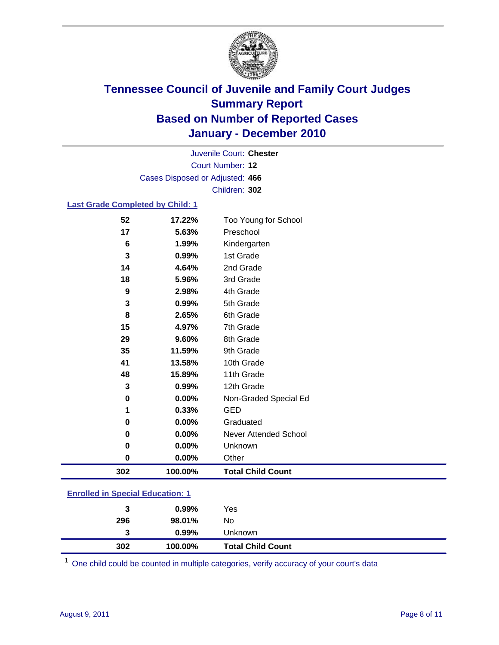

Court Number: **12** Juvenile Court: **Chester** Cases Disposed or Adjusted: **466** Children: **302**

### **Last Grade Completed by Child: 1**

| 52  | 17.22%  | Too Young for School     |
|-----|---------|--------------------------|
| 17  | 5.63%   | Preschool                |
| 6   | 1.99%   | Kindergarten             |
| 3   | 0.99%   | 1st Grade                |
| 14  | 4.64%   | 2nd Grade                |
| 18  | 5.96%   | 3rd Grade                |
| 9   | 2.98%   | 4th Grade                |
| 3   | 0.99%   | 5th Grade                |
| 8   | 2.65%   | 6th Grade                |
| 15  | 4.97%   | 7th Grade                |
| 29  | 9.60%   | 8th Grade                |
| 35  | 11.59%  | 9th Grade                |
| 41  | 13.58%  | 10th Grade               |
| 48  | 15.89%  | 11th Grade               |
| 3   | 0.99%   | 12th Grade               |
| 0   | 0.00%   | Non-Graded Special Ed    |
| 1   | 0.33%   | <b>GED</b>               |
| 0   | 0.00%   | Graduated                |
| 0   | 0.00%   | Never Attended School    |
| 0   | 0.00%   | Unknown                  |
| 0   | 0.00%   | Other                    |
| 302 | 100.00% | <b>Total Child Count</b> |
|     |         |                          |

### **Enrolled in Special Education: 1**

| 3   | $0.99\%$ | Yes                      |
|-----|----------|--------------------------|
| 296 | 98.01%   | No                       |
| 3   | $0.99\%$ | Unknown                  |
| 302 | 100.00%  | <b>Total Child Count</b> |

One child could be counted in multiple categories, verify accuracy of your court's data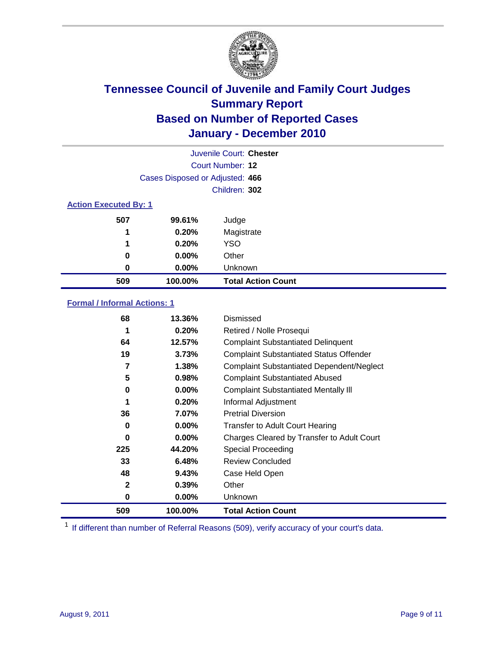

| Juvenile Court: Chester |                                 |                           |  |  |
|-------------------------|---------------------------------|---------------------------|--|--|
|                         | Court Number: 12                |                           |  |  |
|                         | Cases Disposed or Adjusted: 466 |                           |  |  |
|                         | Children: 302                   |                           |  |  |
|                         | <b>Action Executed By: 1</b>    |                           |  |  |
| 507                     | 99.61%                          | Judge                     |  |  |
| 1                       | 0.20%                           | Magistrate                |  |  |
| 1                       | 0.20%                           | <b>YSO</b>                |  |  |
| 0                       | $0.00\%$                        | Other                     |  |  |
| 0                       | 0.00%                           | Unknown                   |  |  |
| 509                     | 100.00%                         | <b>Total Action Count</b> |  |  |

### **Formal / Informal Actions: 1**

| 68           | 13.36%   | Dismissed                                        |
|--------------|----------|--------------------------------------------------|
| 1            | 0.20%    | Retired / Nolle Prosequi                         |
| 64           | 12.57%   | <b>Complaint Substantiated Delinquent</b>        |
| 19           | 3.73%    | <b>Complaint Substantiated Status Offender</b>   |
| 7            | 1.38%    | <b>Complaint Substantiated Dependent/Neglect</b> |
| 5            | 0.98%    | <b>Complaint Substantiated Abused</b>            |
| 0            | $0.00\%$ | <b>Complaint Substantiated Mentally III</b>      |
| 1            | 0.20%    | Informal Adjustment                              |
| 36           | 7.07%    | <b>Pretrial Diversion</b>                        |
| 0            | $0.00\%$ | <b>Transfer to Adult Court Hearing</b>           |
| 0            | $0.00\%$ | Charges Cleared by Transfer to Adult Court       |
| 225          | 44.20%   | Special Proceeding                               |
| 33           | 6.48%    | <b>Review Concluded</b>                          |
| 48           | 9.43%    | Case Held Open                                   |
| $\mathbf{2}$ | 0.39%    | Other                                            |
| 0            | $0.00\%$ | <b>Unknown</b>                                   |
| 509          | 100.00%  | <b>Total Action Count</b>                        |

<sup>1</sup> If different than number of Referral Reasons (509), verify accuracy of your court's data.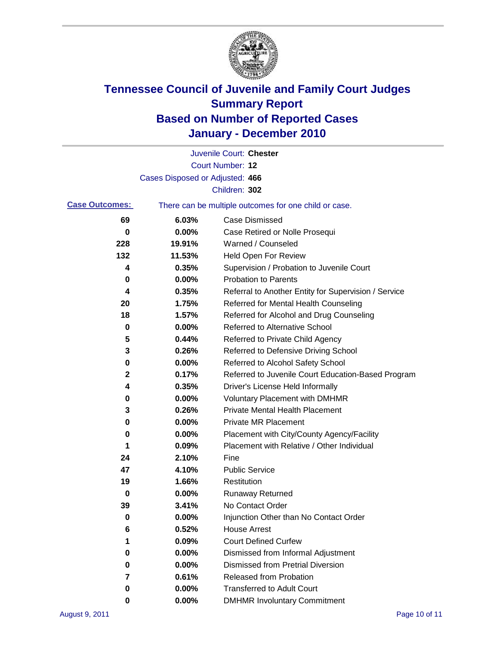

|                       |                                 | Juvenile Court: Chester                               |
|-----------------------|---------------------------------|-------------------------------------------------------|
|                       |                                 | <b>Court Number: 12</b>                               |
|                       | Cases Disposed or Adjusted: 466 |                                                       |
|                       |                                 | Children: 302                                         |
| <b>Case Outcomes:</b> |                                 | There can be multiple outcomes for one child or case. |
| 69                    | 6.03%                           | <b>Case Dismissed</b>                                 |
| 0                     | 0.00%                           | Case Retired or Nolle Prosequi                        |
| 228                   | 19.91%                          | Warned / Counseled                                    |
| 132                   | 11.53%                          | <b>Held Open For Review</b>                           |
| 4                     | 0.35%                           | Supervision / Probation to Juvenile Court             |
| 0                     | 0.00%                           | <b>Probation to Parents</b>                           |
| 4                     | 0.35%                           | Referral to Another Entity for Supervision / Service  |
| 20                    | 1.75%                           | Referred for Mental Health Counseling                 |
| 18                    | 1.57%                           | Referred for Alcohol and Drug Counseling              |
| 0                     | 0.00%                           | <b>Referred to Alternative School</b>                 |
| 5                     | 0.44%                           | Referred to Private Child Agency                      |
| 3                     | 0.26%                           | Referred to Defensive Driving School                  |
| 0                     | 0.00%                           | Referred to Alcohol Safety School                     |
| 2                     | 0.17%                           | Referred to Juvenile Court Education-Based Program    |
| 4                     | 0.35%                           | Driver's License Held Informally                      |
| 0                     | 0.00%                           | <b>Voluntary Placement with DMHMR</b>                 |
| 3                     | 0.26%                           | <b>Private Mental Health Placement</b>                |
| 0                     | 0.00%                           | <b>Private MR Placement</b>                           |
| 0                     | 0.00%                           | Placement with City/County Agency/Facility            |
| 1                     | 0.09%                           | Placement with Relative / Other Individual            |
| 24                    | 2.10%                           | Fine                                                  |
| 47                    | 4.10%                           | <b>Public Service</b>                                 |
| 19                    | 1.66%                           | Restitution                                           |
| 0                     | 0.00%                           | <b>Runaway Returned</b>                               |
| 39                    | 3.41%                           | No Contact Order                                      |
| 0                     | 0.00%                           | Injunction Other than No Contact Order                |
| 6                     | 0.52%                           | <b>House Arrest</b>                                   |
| 1                     | 0.09%                           | <b>Court Defined Curfew</b>                           |
| 0                     | 0.00%                           | Dismissed from Informal Adjustment                    |
| 0                     | 0.00%                           | <b>Dismissed from Pretrial Diversion</b>              |
| 7                     | 0.61%                           | Released from Probation                               |
| 0                     | 0.00%                           | <b>Transferred to Adult Court</b>                     |
| 0                     | $0.00\%$                        | <b>DMHMR Involuntary Commitment</b>                   |